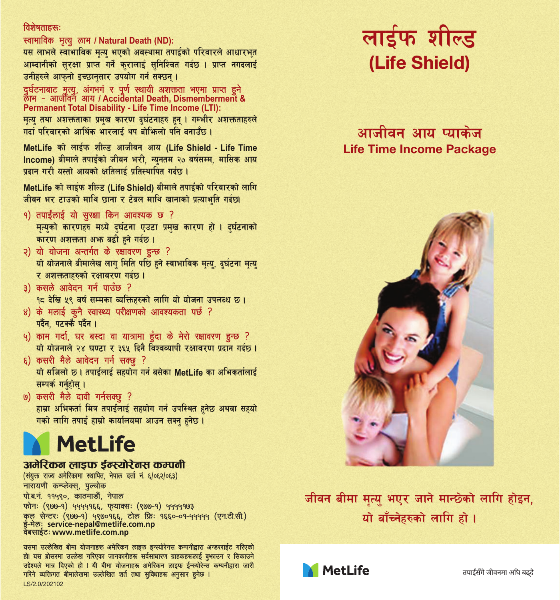### विशेषताहरू

### स्वाभाविक मृत्यु लाभ / Natural Death (ND):

यस लाभले स्वाभाविक मत्य भएको अवस्थामा तपाईको परिवारले आधारभत आम्दानीको सरक्षा प्राप्त गर्ने करालाई सनिश्चित गर्दछ । प्राप्त नगदलाई उनीहरुले आफनो इच्छानसार उपयोग गर्न सक्छन ।

दर्घटनाबाट मत्य अंगभगं र पर्ण स्थायी अजन्छता भएमा पाप्त हुने  $\overline{m}$  -  $\overline{m}$   $\overline{m}$   $\overline{m}$  /  $\Delta$ ccidental Death Dismemberment & Permanent Total Disability - Life Time Income (LTI)

मत्य तथा अशक्तताका प्रमख कारण दर्घटनाहरु हन । गम्भीर अशक्तताहरुले गर्म परिसारको अधिक भारतारं आ मेथिको पनि समार्गेक।

MetLife को लाईफ शील्ड आजीवन आय (Life Shield - Life Time Income) बीमाले तपाइँको जीवन भरी, न्यनतम २० वर्षसम्म, मासिक आय प्रतान गरी ग्रस्तो आगको श्रुतिलाई प्रतिस्थापित गर्नक ।

Metl ife को लार्दफ शीस्ट (Life Shield) बीमाले तपार्दको परिवारको लागि जीवन भर टाउको माथि छाना र टेबल माथि खानाको पत्याभूति गर्दछ।

- १) तपाईलाई यो सरक्षा किन आवश्यक छ ? मृत्यको कारणहरु मध्ये दुर्घटना एउटा प्रमुख कारण हो । दुर्घटनाको कारण अशक्तता अभा बढी हने गर्दछ।
- २) यो योजना अन्तर्गत के रक्षावरण इन्छ ? यो योजनाले बीमालेख लाग मिति पछि हुने स्वाभाविक मृत्य, दर्घटना मृत्य र अशक्तताहरुको रक्षावरण गर्दछ।
- ३) कसले आवेदन गर्न पाउँछ ? १८ देखि ५९ वर्ष सम्मका व्यक्तिहरुको लागि यो योजना उपलब्ध छ।
- ४) के मलाई कुनै स्वास्थ्य परीक्षणको आवश्यकता पर्छ ? पर्दैन, पटक्कै पर्दैन ।
- ५) काम गर्दा, घर बस्दा वा यात्रामा हुँदा के मेरो रक्षावरण हुन्छ ? यो योजनाले २४ घण्टा र ३६५ दिनै विश्वव्यापी रक्षावरण प्रदान गर्दछ।
- ६) कसरी मैले आवेदन गर्न सक्छ ? यो सजिलो छ। तपाईलाई सहयोग गर्न बसेका MetLife का अभिकर्तालाई सम्पर्क गर्नहोस् ।
- ७) कसरी मैले दावी गर्नसक्छ ? हाम्रा अभिकर्ता मित्र तपाईलाई सहयोग गर्न उपस्थित हनेछ अथवा सहयो गको लागि तपाई हाम्रो कार्यालयमा आउन सक्न हनेछ।



#### अमेरिकन लाडफ ईन्स्योरेनस कम्पनी

(संयुक्त राज्य अमेरिकामा स्थापित, नेपाल दर्ता नं ६/०६२/०६३) नारायणी कम्प्लेक्स, पल्चोक पोबन १९५९० कातमाली नेपाल फोनः (९७७-१) ५५५५१६६, फ़याक्सः (९७७-१) ५५५५१७३ कल सेन्टर: (१७७-१) ५९७०१६६, टोल फ्रि. १६६०-०१-५५५५५ (एन.टी.सी.) ई-मेलः service-nepal@metlife.com.np वेबसाईट: www.metlife.com.np

यसमा उल्लेखित बीमा योजनाहरू अमेरिकन लाइफ इन्स्योरेनस कम्पनीद्वारा अन्डरराईट गरिएको हों। यस ब्रोसरमा उल्लेख गरिएका जानकारीहरू सर्वसाधारण ग्राहकहरूलाई बकाउन र सिकाउने स्तेष्ट्यले मात्र दिएको हो । यी बीमा योजनाहरू अमेरिकन लाइफ ईन्स्योरेन्स कम्पनीदारा जारी गरिने व्यक्तिगत बीमालेखमा सल्लेखित शर्त तथा सविधाहरू अनसार हुनेछ । LS/2.0/202102

# लार्डफ शील्ड (Life Shield)

# आजीवन आग पगकेज **Life Time Income Package**



जीवन बीमा मत्य भएर जाने मान्छेको लागि होइन, यो बाँच्नेहरुको लागि हो।